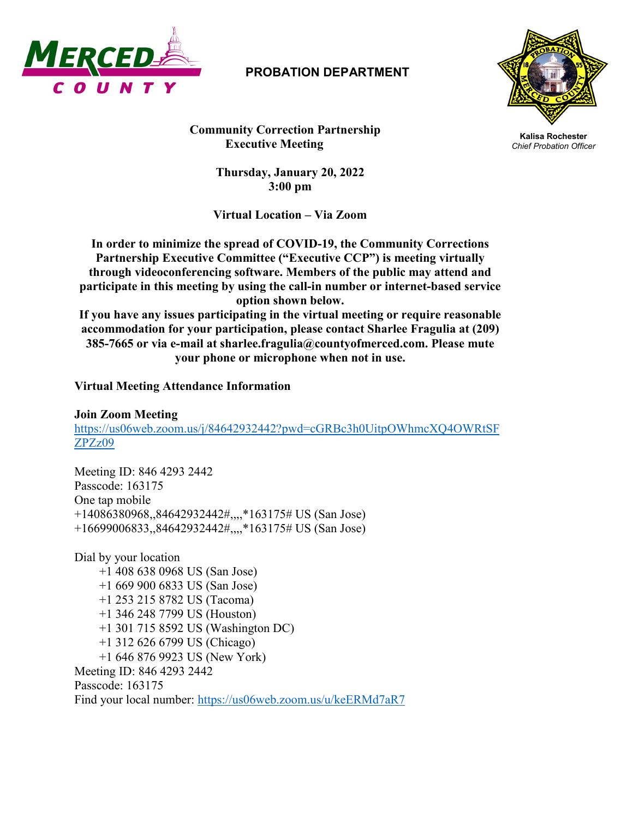

## **PROBATION DEPARTMENT**



**Kalisa Rochester** *Chief Probation Officer*

 **Community Correction Partnership Executive Meeting**

> **Thursday, January 20, 2022 3:00 pm**

**Virtual Location – Via Zoom**

**In order to minimize the spread of COVID-19, the Community Corrections Partnership Executive Committee ("Executive CCP") is meeting virtually through videoconferencing software. Members of the public may attend and participate in this meeting by using the call-in number or internet-based service option shown below.**

**If you have any issues participating in the virtual meeting or require reasonable accommodation for your participation, please contact Sharlee Fragulia at (209) 385-7665 or via e-mail at sharlee.fragulia@countyofmerced.com. Please mute your phone or microphone when not in use.**

**Virtual Meeting Attendance Information**

**Join Zoom Meeting** [https://us06web.zoom.us/j/84642932442?pwd=cGRBc3h0UitpOWhmcXQ4OWRtSF](https://us06web.zoom.us/j/84642932442?pwd=cGRBc3h0UitpOWhmcXQ4OWRtSFZPZz09) [ZPZz09](https://us06web.zoom.us/j/84642932442?pwd=cGRBc3h0UitpOWhmcXQ4OWRtSFZPZz09)

Meeting ID: 846 4293 2442 Passcode: 163175 One tap mobile +14086380968,,84642932442#,,,,\*163175# US (San Jose) +16699006833,,84642932442#,,,,\*163175# US (San Jose)

Dial by your location +1 408 638 0968 US (San Jose) +1 669 900 6833 US (San Jose) +1 253 215 8782 US (Tacoma) +1 346 248 7799 US (Houston) +1 301 715 8592 US (Washington DC) +1 312 626 6799 US (Chicago) +1 646 876 9923 US (New York) Meeting ID: 846 4293 2442 Passcode: 163175 Find your local number:<https://us06web.zoom.us/u/keERMd7aR7>